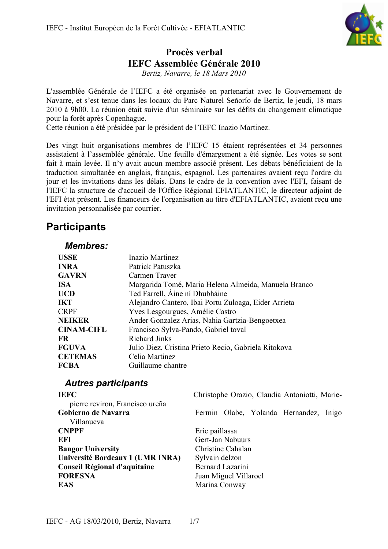

# **Procès verbal IEFC Assemblée Générale 2010**

*Bertiz, Navarre, le 18 Mars 2010*

L'assemblée Générale de l'IEFC a été organisée en partenariat avec le Gouvernement de Navarre, et s'est tenue dans les locaux du Parc Naturel Señorío de Bertiz, le jeudi, 18 mars 2010 à 9h00. La réunion était suivie d'un séminaire sur les défits du changement climatique pour la forêt après Copenhague.

Cette réunion a été présidée par le président de l'IEFC Inazio Martinez.

Des vingt huit organisations membres de l'IEFC 15 étaient représentées et 34 personnes assistaient à l'assemblée générale. Une feuille d'émargement a été signée. Les votes se sont fait à main levée. Il n'y avait aucun membre associé présent. Les débats bénéficiaient de la traduction simultanée en anglais, français, espagnol. Les partenaires avaient reçu l'ordre du jour et les invitations dans les délais. Dans le cadre de la convention avec l'EFI, faisant de l'IEFC la structure de d'accueil de l'Office Régional EFIATLANTIC, le directeur adjoint de l'EFI état présent. Les financeurs de l'organisation au titre d'EFIATLANTIC, avaient reçu une invitation personnalisée par courrier.

# **Participants**

## *Membres:*

| Inazio Martinez                                      |
|------------------------------------------------------|
|                                                      |
| Patrick Patuszka                                     |
| Carmen Traver                                        |
| Margarida Tomé, Maria Helena Almeida, Manuela Branco |
| Ted Farrell, Áine ní Dhubháine                       |
| Alejandro Cantero, Ibai Portu Zuloaga, Eider Arrieta |
| Yves Lesgourgues, Amélie Castro                      |
| Ander Gonzalez Arias, Nahia Gartzia-Bengoetxea       |
| Francisco Sylva-Pando, Gabriel toval                 |
| <b>Richard Jinks</b>                                 |
| Julio Diez, Cristina Prieto Recio, Gabriela Ritokova |
| Celia Martinez                                       |
| Guillaume chantre                                    |
|                                                      |

## *Autres participants*

| <b>IEFC</b><br>pierre reviron, Francisco ureña | Christophe Orazio, Claudia Antoniotti, Marie- |
|------------------------------------------------|-----------------------------------------------|
| Gobierno de Navarra<br>Villanueva              | Fermin Olabe, Yolanda Hernandez, Inigo        |
| <b>CNPPF</b>                                   | Eric paillassa                                |
| EFI                                            | Gert-Jan Nabuurs                              |
| <b>Bangor University</b>                       | Christine Cahalan                             |
| Université Bordeaux 1 (UMR INRA)               | Sylvain delzon                                |
| Conseil Régional d'aquitaine                   | Bernard Lazarini                              |
| <b>FORESNA</b>                                 | Juan Miguel Villaroel                         |
| <b>EAS</b>                                     | Marina Conway                                 |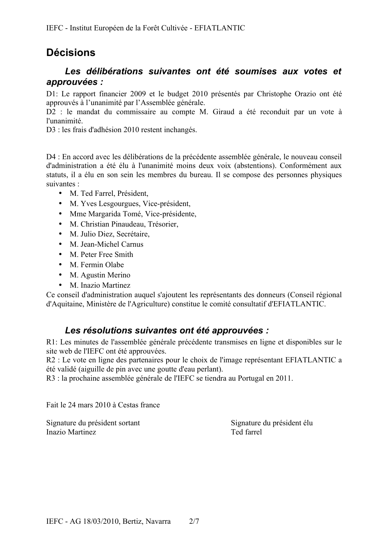# **Décisions**

# *Les délibérations suivantes ont été soumises aux votes et approuvées :*

D1: Le rapport financier 2009 et le budget 2010 présentés par Christophe Orazio ont été approuvés à l'unanimité par l'Assemblée générale.

D2 : le mandat du commissaire au compte M. Giraud a été reconduit par un vote à l'unanimité.

D3 : les frais d'adhésion 2010 restent inchangés.

D4 : En accord avec les délibérations de la précédente assemblée générale, le nouveau conseil d'administration a été élu à l'unanimité moins deux voix (abstentions). Conformément aux statuts, il a élu en son sein les membres du bureau. Il se compose des personnes physiques suivantes :

- M. Ted Farrel, Président,
- M. Yves Lesgourgues, Vice-président,
- Mme Margarida Tomé, Vice-présidente,
- M. Christian Pinaudeau, Trésorier,
- M. Julio Diez, Secrétaire,
- M. Jean-Michel Carnus
- M. Peter Free Smith
- M. Fermin Olabe
- M. Agustin Merino
- M. Inazio Martinez

Ce conseil d'administration auquel s'ajoutent les représentants des donneurs (Conseil régional d'Aquitaine, Ministère de l'Agriculture) constitue le comité consultatif d'EFIATLANTIC.

## *Les résolutions suivantes ont été approuvées :*

R1: Les minutes de l'assemblée générale précédente transmises en ligne et disponibles sur le site web de l'IEFC ont été approuvées.

R2 : Le vote en ligne des partenaires pour le choix de l'image représentant EFIATLANTIC a été validé (aiguille de pin avec une goutte d'eau perlant).

R3 : la prochaine assemblée générale de l'IEFC se tiendra au Portugal en 2011.

Fait le 24 mars 2010 à Cestas france

Signature du président sortant Signature du président élu Inazio Martinez Ted farrel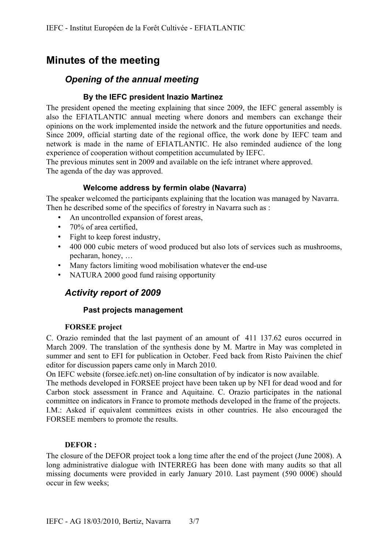# **Minutes of the meeting**

# *Opening of the annual meeting*

## **By the IEFC president Inazio Martinez**

The president opened the meeting explaining that since 2009, the IEFC general assembly is also the EFIATLANTIC annual meeting where donors and members can exchange their opinions on the work implemented inside the network and the future opportunities and needs. Since 2009, official starting date of the regional office, the work done by IEFC team and network is made in the name of EFIATLANTIC. He also reminded audience of the long experience of cooperation without competition accumulated by IEFC.

The previous minutes sent in 2009 and available on the iefc intranet where approved. The agenda of the day was approved.

## **Welcome address by fermin olabe (Navarra)**

The speaker welcomed the participants explaining that the location was managed by Navarra. Then he described some of the specifics of forestry in Navarra such as :

- An uncontrolled expansion of forest areas,
- 70% of area certified,
- Fight to keep forest industry,
- 400 000 cubic meters of wood produced but also lots of services such as mushrooms, pecharan, honey, …
- Many factors limiting wood mobilisation whatever the end-use
- NATURA 2000 good fund raising opportunity

## *Activity report of 2009*

### **Past projects management**

### **FORSEE project**

C. Orazio reminded that the last payment of an amount of 411 137.62 euros occurred in March 2009. The translation of the synthesis done by M. Martre in May was completed in summer and sent to EFI for publication in October. Feed back from Risto Paivinen the chief editor for discussion papers came only in March 2010.

On IEFC website (forsee.iefc.net) on-line consultation of by indicator is now available.

The methods developed in FORSEE project have been taken up by NFI for dead wood and for Carbon stock assessment in France and Aquitaine. C. Orazio participates in the national committee on indicators in France to promote methods developed in the frame of the projects. I.M.: Asked if equivalent committees exists in other countries. He also encouraged the FORSEE members to promote the results.

### **DEFOR :**

The closure of the DEFOR project took a long time after the end of the project (June 2008). A long administrative dialogue with INTERREG has been done with many audits so that all missing documents were provided in early January 2010. Last payment (590 000€) should occur in few weeks;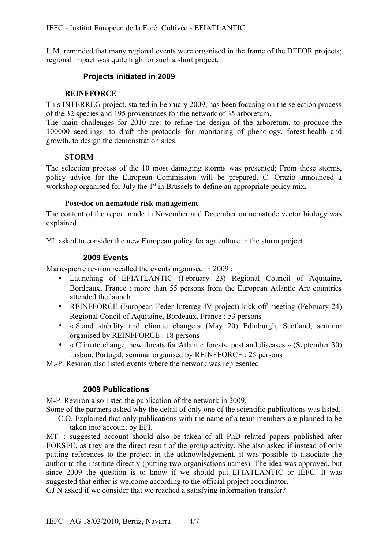I. M. reminded that many regional events were organised in the frame of the DEFOR projects; regional impact was quite high for such a short project.

## **Projects initiated in 2009**

#### **REINFFORCE**

This INTERREG project, started in February 2009, has been focusing on the selection process of the 32 species and 195 provenances for the network of 35 arboretum.

The main challenges for 2010 are: to refine the design of the arboretum, to produce the 100000 seedlings, to draft the protocols for monitoring of phenology, forest-health and growth, to design the demonstration sites.

#### **STORM**

The selection process of the 10 most damaging storms was presented; From these storms, policy advice for the European Commission will be prepared. C. Orazio announced a workshop organised for July the  $1<sup>st</sup>$  in Brussels to define an appropriate policy mix.

#### **Post-doc on nematode risk management**

The content of the report made in November and December on nematode vector biology was explained.

YL asked to consider the new European policy for agriculture in the storm project.

#### **2009 Events**

Marie-pierre reviron recalled the events organised in 2009 :

- Launching of EFIATLANTIC (February 23) Regional Council of Aquitaine, Bordeaux, France : more than 55 persons from the European Atlantic Arc countries attended the launch
- REINFFORCE (European Feder Interreg IV project) kick-off meeting (February 24) Regional Concil of Aquitaine, Bordeaux, France : 53 persons
- « Stand stability and climate change » (May 20) Edinburgh, Scotland, seminar organised by REINFFORCE : 18 persons
- « Climate change, new threats for Atlantic forests: pest and diseases » (September 30) Lisbon, Portugal, seminar organised by REINFFORCE : 25 persons

M.-P. Reviron also listed events where the network was represented.

### **2009 Publications**

M-P. Reviron also listed the publication of the network in 2009.

Some of the partners asked why the detail of only one of the scientific publications was listed.

C.O. Explained that only publications with the name of a team members are planned to be taken into account by EFI.

MT. : suggested account should also be taken of all PhD related papers published after FORSEE, as they are the direct result of the group activity. She also asked if instead of only putting references to the project in the acknowledgement, it was possible to associate the author to the institute directly (putting two organisations names). The idea was approved, but since 2009 the question is to know if we should put EFIATLANTIC or IEFC. It was suggested that either is welcome according to the official project coordinator.

GJ N asked if we consider that we reached a satisfying information transfer?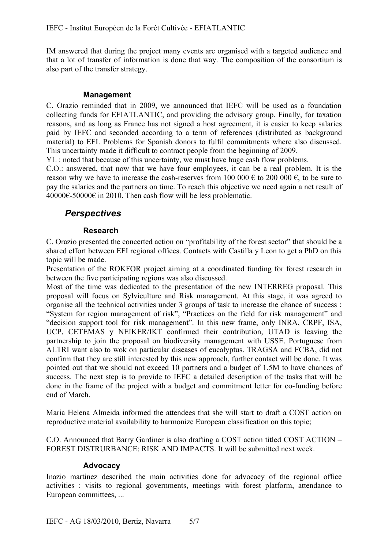IM answered that during the project many events are organised with a targeted audience and that a lot of transfer of information is done that way. The composition of the consortium is also part of the transfer strategy.

### **Management**

C. Orazio reminded that in 2009, we announced that IEFC will be used as a foundation collecting funds for EFIATLANTIC, and providing the advisory group. Finally, for taxation reasons, and as long as France has not signed a host agreement, it is easier to keep salaries paid by IEFC and seconded according to a term of references (distributed as background material) to EFI. Problems for Spanish donors to fulfil commitments where also discussed. This uncertainty made it difficult to contract people from the beginning of 2009.

YL : noted that because of this uncertainty, we must have huge cash flow problems.

C.O.: answered, that now that we have four employees, it can be a real problem. It is the reason why we have to increase the cash-reserves from 100 000  $\epsilon$  to 200 000  $\epsilon$ , to be sure to pay the salaries and the partners on time. To reach this objective we need again a net result of 40000€-50000€ in 2010. Then cash flow will be less problematic.

# *Perspectives*

## **Research**

C. Orazio presented the concerted action on "profitability of the forest sector" that should be a shared effort between EFI regional offices. Contacts with Castilla y Leon to get a PhD on this topic will be made.

Presentation of the ROKFOR project aiming at a coordinated funding for forest research in between the five participating regions was also discussed.

Most of the time was dedicated to the presentation of the new INTERREG proposal. This proposal will focus on Sylviculture and Risk management. At this stage, it was agreed to organise all the technical activities under 3 groups of task to increase the chance of success : "System for region management of risk", "Practices on the field for risk management" and "decision support tool for risk management". In this new frame, only INRA, CRPF, ISA, UCP, CETEMAS y NEIKER/IKT confirmed their contribution, UTAD is leaving the partnership to join the proposal on biodiversity management with USSE. Portuguese from ALTRI want also to wok on particular diseases of eucalyptus. TRAGSA and FCBA, did not confirm that they are still interested by this new approach, further contact will be done. It was pointed out that we should not exceed 10 partners and a budget of 1.5M to have chances of success. The next step is to provide to IEFC a detailed description of the tasks that will be done in the frame of the project with a budget and commitment letter for co-funding before end of March.

Maria Helena Almeida informed the attendees that she will start to draft a COST action on reproductive material availability to harmonize European classification on this topic;

C.O. Announced that Barry Gardiner is also drafting a COST action titled COST ACTION – FOREST DISTRURBANCE: RISK AND IMPACTS. It will be submitted next week.

### **Advocacy**

Inazio martinez described the main activities done for advocacy of the regional office activities : visits to regional governments, meetings with forest platform, attendance to European committees, ...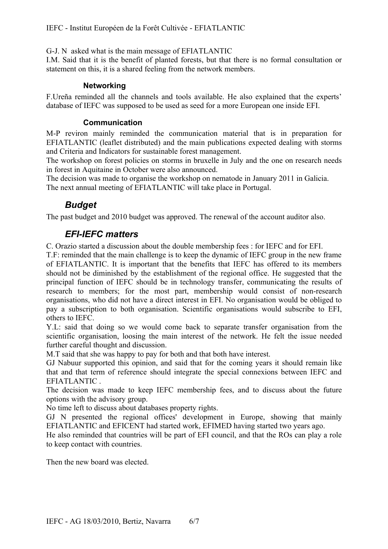G-J. N asked what is the main message of EFIATLANTIC

I.M. Said that it is the benefit of planted forests, but that there is no formal consultation or statement on this, it is a shared feeling from the network members.

## **Networking**

F.Ureña reminded all the channels and tools available. He also explained that the experts' database of IEFC was supposed to be used as seed for a more European one inside EFI.

## **Communication**

M-P reviron mainly reminded the communication material that is in preparation for EFIATLANTIC (leaflet distributed) and the main publications expected dealing with storms and Criteria and Indicators for sustainable forest management.

The workshop on forest policies on storms in bruxelle in July and the one on research needs in forest in Aquitaine in October were also announced.

The decision was made to organise the workshop on nematode in January 2011 in Galicia. The next annual meeting of EFIATLANTIC will take place in Portugal.

# *Budget*

The past budget and 2010 budget was approved. The renewal of the account auditor also.

# *EFI-IEFC matters*

C. Orazio started a discussion about the double membership fees : for IEFC and for EFI.

T.F: reminded that the main challenge is to keep the dynamic of IEFC group in the new frame of EFIATLANTIC. It is important that the benefits that IEFC has offered to its members should not be diminished by the establishment of the regional office. He suggested that the principal function of IEFC should be in technology transfer, communicating the results of research to members; for the most part, membership would consist of non-research organisations, who did not have a direct interest in EFI. No organisation would be obliged to pay a subscription to both organisation. Scientific organisations would subscribe to EFI, others to IEFC.

Y.L: said that doing so we would come back to separate transfer organisation from the scientific organisation, loosing the main interest of the network. He felt the issue needed further careful thought and discussion.

M.T said that she was happy to pay for both and that both have interest.

GJ Nabuur supported this opinion, and said that for the coming years it should remain like that and that term of reference should integrate the special connexions between IEFC and EFIATLANTIC .

The decision was made to keep IEFC membership fees, and to discuss about the future options with the advisory group.

No time left to discuss about databases property rights.

GJ N presented the regional offices' development in Europe, showing that mainly EFIATLANTIC and EFICENT had started work, EFIMED having started two years ago.

He also reminded that countries will be part of EFI council, and that the ROs can play a role to keep contact with countries.

Then the new board was elected.